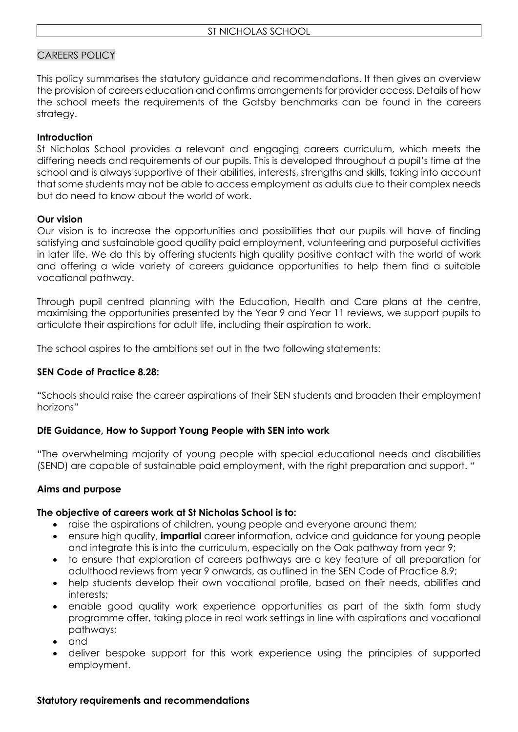## CAREERS POLICY

This policy summarises the statutory guidance and recommendations. It then gives an overview the provision of careers education and confirms arrangements for provider access. Details of how the school meets the requirements of the Gatsby benchmarks can be found in the careers strategy.

### **Introduction**

St Nicholas School provides a relevant and engaging careers curriculum, which meets the differing needs and requirements of our pupils. This is developed throughout a pupil's time at the school and is always supportive of their abilities, interests, strengths and skills, taking into account that some students may not be able to access employment as adults due to their complex needs but do need to know about the world of work.

## **Our vision**

Our vision is to increase the opportunities and possibilities that our pupils will have of finding satisfying and sustainable good quality paid employment, volunteering and purposeful activities in later life. We do this by offering students high quality positive contact with the world of work and offering a wide variety of careers guidance opportunities to help them find a suitable vocational pathway.

Through pupil centred planning with the Education, Health and Care plans at the centre, maximising the opportunities presented by the Year 9 and Year 11 reviews, we support pupils to articulate their aspirations for adult life, including their aspiration to work.

The school aspires to the ambitions set out in the two following statements:

# **SEN Code of Practice 8.28:**

**"**Schools should raise the career aspirations of their SEN students and broaden their employment horizons"

#### **DfE Guidance, How to Support Young People with SEN into work**

"The overwhelming majority of young people with special educational needs and disabilities (SEND) are capable of sustainable paid employment, with the right preparation and support. "

#### **Aims and purpose**

#### **The objective of careers work at St Nicholas School is to:**

- raise the aspirations of children, young people and everyone around them;
- ensure high quality, **impartial** career information, advice and guidance for young people and integrate this is into the curriculum, especially on the Oak pathway from year 9;
- to ensure that exploration of careers pathways are a key feature of all preparation for adulthood reviews from year 9 onwards, as outlined in the SEN Code of Practice 8.9;
- help students develop their own vocational profile, based on their needs, abilities and interests;
- enable good quality work experience opportunities as part of the sixth form study programme offer, taking place in real work settings in line with aspirations and vocational pathways;
- and
- deliver bespoke support for this work experience using the principles of supported employment.

#### **Statutory requirements and recommendations**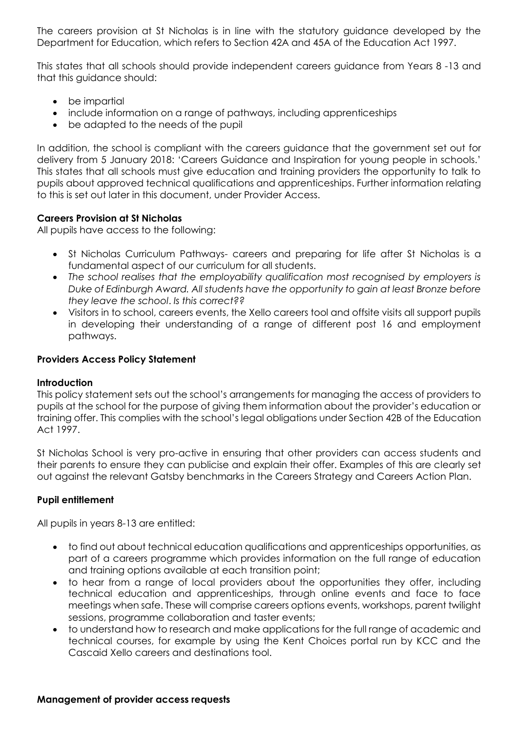The careers provision at St Nicholas is in line with the statutory guidance developed by the Department for Education, which refers to Section 42A and 45A of the Education Act 1997.

This states that all schools should provide independent careers guidance from Years 8 -13 and that this guidance should:

- be impartial
- include information on a range of pathways, including apprenticeships
- be adapted to the needs of the pupil

In addition, the school is compliant with the careers guidance that the government set out for delivery from 5 January 2018: 'Careers Guidance and Inspiration for young people in schools.' This states that all schools must give education and training providers the opportunity to talk to pupils about approved technical qualifications and apprenticeships. Further information relating to this is set out later in this document, under Provider Access.

## **Careers Provision at St Nicholas**

All pupils have access to the following:

- St Nicholas Curriculum Pathways- careers and preparing for life after St Nicholas is a fundamental aspect of our curriculum for all students.
- *The school realises that the employability qualification most recognised by employers is Duke of Edinburgh Award. All students have the opportunity to gain at least Bronze before they leave the school*. *Is this correct??*
- Visitors in to school, careers events, the Xello careers tool and offsite visits all support pupils in developing their understanding of a range of different post 16 and employment pathways.

#### **Providers Access Policy Statement**

#### **Introduction**

This policy statement sets out the school's arrangements for managing the access of providers to pupils at the school for the purpose of giving them information about the provider's education or training offer. This complies with the school's legal obligations under Section 42B of the Education Act 1997.

St Nicholas School is very pro-active in ensuring that other providers can access students and their parents to ensure they can publicise and explain their offer. Examples of this are clearly set out against the relevant Gatsby benchmarks in the Careers Strategy and Careers Action Plan.

#### **Pupil entitlement**

All pupils in years 8-13 are entitled:

- to find out about technical education qualifications and apprenticeships opportunities, as part of a careers programme which provides information on the full range of education and training options available at each transition point;
- to hear from a range of local providers about the opportunities they offer, including technical education and apprenticeships, through online events and face to face meetings when safe. These will comprise careers options events, workshops, parent twilight sessions, programme collaboration and taster events;
- to understand how to research and make applications for the full range of academic and technical courses, for example by using the Kent Choices portal run by KCC and the Cascaid Xello careers and destinations tool.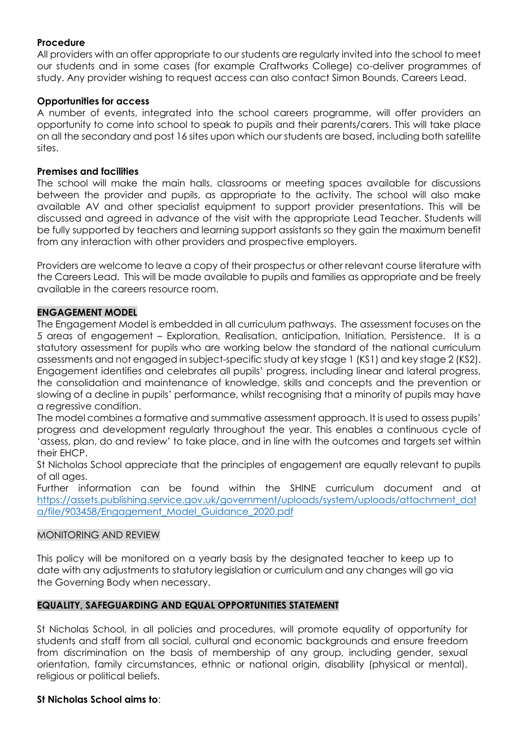# **Procedure**

All providers with an offer appropriate to our students are regularly invited into the school to meet our students and in some cases (for example Craftworks College) co-deliver programmes of study. Any provider wishing to request access can also contact Simon Bounds, Careers Lead.

### **Opportunities for access**

A number of events, integrated into the school careers programme, will offer providers an opportunity to come into school to speak to pupils and their parents/carers. This will take place on all the secondary and post 16 sites upon which our students are based, including both satellite sites.

#### **Premises and facilities**

The school will make the main halls, classrooms or meeting spaces available for discussions between the provider and pupils, as appropriate to the activity. The school will also make available AV and other specialist equipment to support provider presentations. This will be discussed and agreed in advance of the visit with the appropriate Lead Teacher. Students will be fully supported by teachers and learning support assistants so they gain the maximum benefit from any interaction with other providers and prospective employers.

Providers are welcome to leave a copy of their prospectus or other relevant course literature with the Careers Lead. This will be made available to pupils and families as appropriate and be freely available in the careers resource room.

#### **ENGAGEMENT MODEL**

The Engagement Model is embedded in all curriculum pathways. The assessment focuses on the 5 areas of engagement – Exploration, Realisation, anticipation, Initiation, Persistence. It is a statutory assessment for pupils who are working below the standard of the national curriculum assessments and not engaged in subject-specific study at key stage 1 (KS1) and key stage 2 (KS2). Engagement identifies and celebrates all pupils' progress, including linear and lateral progress, the consolidation and maintenance of knowledge, skills and concepts and the prevention or slowing of a decline in pupils' performance, whilst recognising that a minority of pupils may have a regressive condition.

The model combines a formative and summative assessment approach. It is used to assess pupils' progress and development regularly throughout the year. This enables a continuous cycle of 'assess, plan, do and review' to take place, and in line with the outcomes and targets set within their EHCP.

St Nicholas School appreciate that the principles of engagement are equally relevant to pupils of all ages.

Further information can be found within the SHINE curriculum document and at [https://assets.publishing.service.gov.uk/government/uploads/system/uploads/attachment\\_dat](https://assets.publishing.service.gov.uk/government/uploads/system/uploads/attachment_data/file/903458/Engagement_Model_Guidance_2020.pdf) [a/file/903458/Engagement\\_Model\\_Guidance\\_2020.pdf](https://assets.publishing.service.gov.uk/government/uploads/system/uploads/attachment_data/file/903458/Engagement_Model_Guidance_2020.pdf)

#### MONITORING AND REVIEW

This policy will be monitored on a yearly basis by the designated teacher to keep up to date with any adjustments to statutory legislation or curriculum and any changes will go via the Governing Body when necessary.

#### **EQUALITY, SAFEGUARDING AND EQUAL OPPORTUNITIES STATEMENT**

St Nicholas School, in all policies and procedures, will promote equality of opportunity for students and staff from all social, cultural and economic backgrounds and ensure freedom from discrimination on the basis of membership of any group, including gender, sexual orientation, family circumstances, ethnic or national origin, disability (physical or mental), religious or political beliefs.

#### **St Nicholas School aims to**: